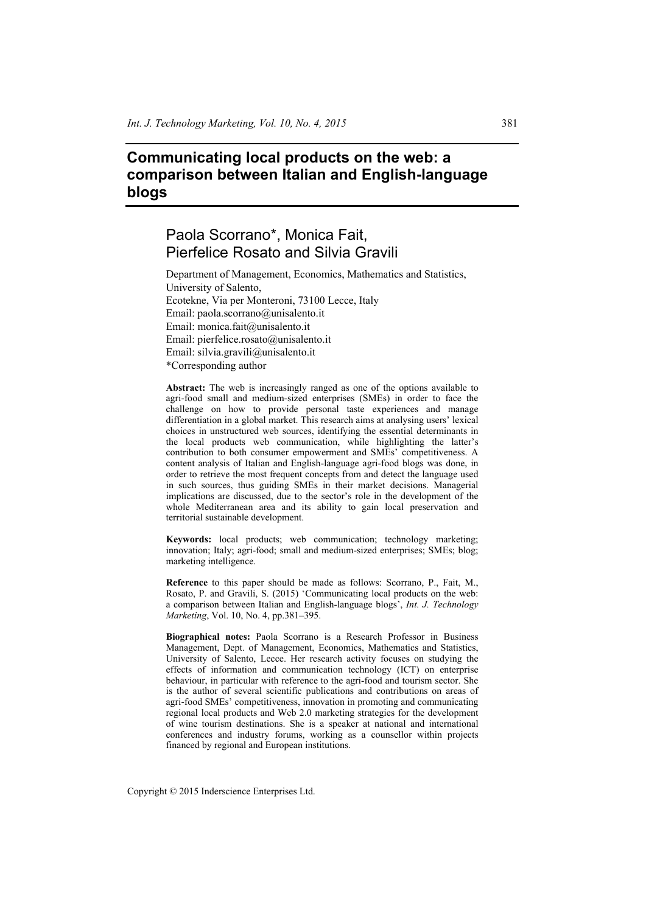# **Communicating local products on the web: a comparison between Italian and English-language blogs**

# Paola Scorrano\*, Monica Fait, Pierfelice Rosato and Silvia Gravili

Department of Management, Economics, Mathematics and Statistics, University of Salento, Ecotekne, Via per Monteroni, 73100 Lecce, Italy Email: paola.scorrano@unisalento.it Email: monica.fait@unisalento.it Email: pierfelice.rosato@unisalento.it Email: silvia.gravili@unisalento.it \*Corresponding author

**Abstract:** The web is increasingly ranged as one of the options available to agri-food small and medium-sized enterprises (SMEs) in order to face the challenge on how to provide personal taste experiences and manage differentiation in a global market. This research aims at analysing users' lexical choices in unstructured web sources, identifying the essential determinants in the local products web communication, while highlighting the latter's contribution to both consumer empowerment and SMEs' competitiveness. A content analysis of Italian and English-language agri-food blogs was done, in order to retrieve the most frequent concepts from and detect the language used in such sources, thus guiding SMEs in their market decisions. Managerial implications are discussed, due to the sector's role in the development of the whole Mediterranean area and its ability to gain local preservation and territorial sustainable development.

**Keywords:** local products; web communication; technology marketing; innovation; Italy; agri-food; small and medium-sized enterprises; SMEs; blog; marketing intelligence.

**Reference** to this paper should be made as follows: Scorrano, P., Fait, M., Rosato, P. and Gravili, S. (2015) 'Communicating local products on the web: a comparison between Italian and English-language blogs', *Int. J. Technology Marketing*, Vol. 10, No. 4, pp.381–395.

**Biographical notes:** Paola Scorrano is a Research Professor in Business Management, Dept. of Management, Economics, Mathematics and Statistics, University of Salento, Lecce. Her research activity focuses on studying the effects of information and communication technology (ICT) on enterprise behaviour, in particular with reference to the agri-food and tourism sector. She is the author of several scientific publications and contributions on areas of agri-food SMEs' competitiveness, innovation in promoting and communicating regional local products and Web 2.0 marketing strategies for the development of wine tourism destinations. She is a speaker at national and international conferences and industry forums, working as a counsellor within projects financed by regional and European institutions.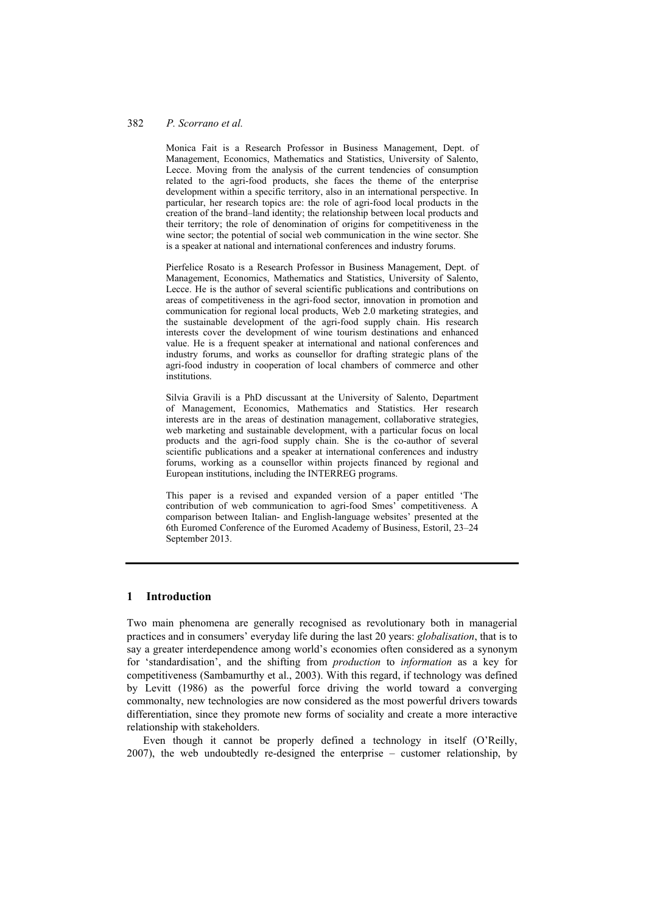Monica Fait is a Research Professor in Business Management, Dept. of Management, Economics, Mathematics and Statistics, University of Salento, Lecce. Moving from the analysis of the current tendencies of consumption related to the agri-food products, she faces the theme of the enterprise development within a specific territory, also in an international perspective. In particular, her research topics are: the role of agri-food local products in the creation of the brand–land identity; the relationship between local products and their territory; the role of denomination of origins for competitiveness in the wine sector; the potential of social web communication in the wine sector. She is a speaker at national and international conferences and industry forums.

Pierfelice Rosato is a Research Professor in Business Management, Dept. of Management, Economics, Mathematics and Statistics, University of Salento, Lecce. He is the author of several scientific publications and contributions on areas of competitiveness in the agri-food sector, innovation in promotion and communication for regional local products, Web 2.0 marketing strategies, and the sustainable development of the agri-food supply chain. His research interests cover the development of wine tourism destinations and enhanced value. He is a frequent speaker at international and national conferences and industry forums, and works as counsellor for drafting strategic plans of the agri-food industry in cooperation of local chambers of commerce and other institutions.

Silvia Gravili is a PhD discussant at the University of Salento, Department of Management, Economics, Mathematics and Statistics. Her research interests are in the areas of destination management, collaborative strategies, web marketing and sustainable development, with a particular focus on local products and the agri-food supply chain. She is the co-author of several scientific publications and a speaker at international conferences and industry forums, working as a counsellor within projects financed by regional and European institutions, including the INTERREG programs.

This paper is a revised and expanded version of a paper entitled 'The contribution of web communication to agri-food Smes' competitiveness. A comparison between Italian- and English-language websites' presented at the 6th Euromed Conference of the Euromed Academy of Business, Estoril, 23–24 September 2013.

#### **1 Introduction**

Two main phenomena are generally recognised as revolutionary both in managerial practices and in consumers' everyday life during the last 20 years: *globalisation*, that is to say a greater interdependence among world's economies often considered as a synonym for 'standardisation', and the shifting from *production* to *information* as a key for competitiveness (Sambamurthy et al., 2003). With this regard, if technology was defined by Levitt (1986) as the powerful force driving the world toward a converging commonalty, new technologies are now considered as the most powerful drivers towards differentiation, since they promote new forms of sociality and create a more interactive relationship with stakeholders.

Even though it cannot be properly defined a technology in itself (O'Reilly, 2007), the web undoubtedly re-designed the enterprise – customer relationship, by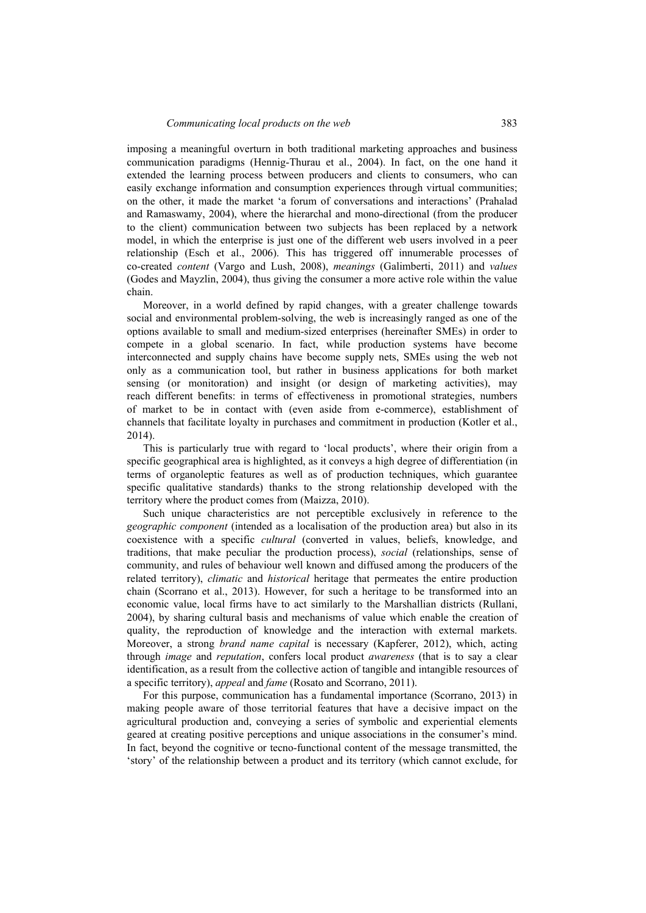imposing a meaningful overturn in both traditional marketing approaches and business communication paradigms (Hennig-Thurau et al., 2004). In fact, on the one hand it extended the learning process between producers and clients to consumers, who can easily exchange information and consumption experiences through virtual communities; on the other, it made the market 'a forum of conversations and interactions' (Prahalad and Ramaswamy, 2004), where the hierarchal and mono-directional (from the producer to the client) communication between two subjects has been replaced by a network model, in which the enterprise is just one of the different web users involved in a peer relationship (Esch et al., 2006). This has triggered off innumerable processes of co-created *content* (Vargo and Lush, 2008), *meanings* (Galimberti, 2011) and *values*  (Godes and Mayzlin, 2004), thus giving the consumer a more active role within the value chain.

Moreover, in a world defined by rapid changes, with a greater challenge towards social and environmental problem-solving, the web is increasingly ranged as one of the options available to small and medium-sized enterprises (hereinafter SMEs) in order to compete in a global scenario. In fact, while production systems have become interconnected and supply chains have become supply nets, SMEs using the web not only as a communication tool, but rather in business applications for both market sensing (or monitoration) and insight (or design of marketing activities), may reach different benefits: in terms of effectiveness in promotional strategies, numbers of market to be in contact with (even aside from e-commerce), establishment of channels that facilitate loyalty in purchases and commitment in production (Kotler et al., 2014).

This is particularly true with regard to 'local products', where their origin from a specific geographical area is highlighted, as it conveys a high degree of differentiation (in terms of organoleptic features as well as of production techniques, which guarantee specific qualitative standards) thanks to the strong relationship developed with the territory where the product comes from (Maizza, 2010).

Such unique characteristics are not perceptible exclusively in reference to the *geographic component* (intended as a localisation of the production area) but also in its coexistence with a specific *cultural* (converted in values, beliefs, knowledge, and traditions, that make peculiar the production process), *social* (relationships, sense of community, and rules of behaviour well known and diffused among the producers of the related territory), *climatic* and *historical* heritage that permeates the entire production chain (Scorrano et al., 2013). However, for such a heritage to be transformed into an economic value, local firms have to act similarly to the Marshallian districts (Rullani, 2004), by sharing cultural basis and mechanisms of value which enable the creation of quality, the reproduction of knowledge and the interaction with external markets. Moreover, a strong *brand name capital* is necessary (Kapferer, 2012), which, acting through *image* and *reputation*, confers local product *awareness* (that is to say a clear identification, as a result from the collective action of tangible and intangible resources of a specific territory), *appeal* and *fame* (Rosato and Scorrano, 2011).

For this purpose, communication has a fundamental importance (Scorrano, 2013) in making people aware of those territorial features that have a decisive impact on the agricultural production and, conveying a series of symbolic and experiential elements geared at creating positive perceptions and unique associations in the consumer's mind. In fact, beyond the cognitive or tecno-functional content of the message transmitted, the 'story' of the relationship between a product and its territory (which cannot exclude, for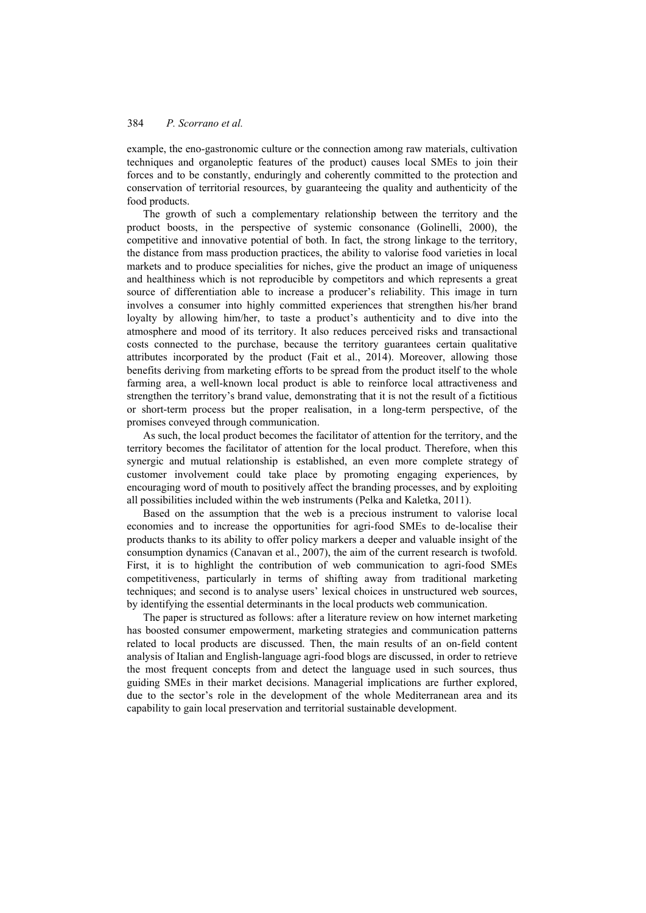example, the eno-gastronomic culture or the connection among raw materials, cultivation techniques and organoleptic features of the product) causes local SMEs to join their forces and to be constantly, enduringly and coherently committed to the protection and conservation of territorial resources, by guaranteeing the quality and authenticity of the food products.

The growth of such a complementary relationship between the territory and the product boosts, in the perspective of systemic consonance (Golinelli, 2000), the competitive and innovative potential of both. In fact, the strong linkage to the territory, the distance from mass production practices, the ability to valorise food varieties in local markets and to produce specialities for niches, give the product an image of uniqueness and healthiness which is not reproducible by competitors and which represents a great source of differentiation able to increase a producer's reliability. This image in turn involves a consumer into highly committed experiences that strengthen his/her brand loyalty by allowing him/her, to taste a product's authenticity and to dive into the atmosphere and mood of its territory. It also reduces perceived risks and transactional costs connected to the purchase, because the territory guarantees certain qualitative attributes incorporated by the product (Fait et al., 2014). Moreover, allowing those benefits deriving from marketing efforts to be spread from the product itself to the whole farming area, a well-known local product is able to reinforce local attractiveness and strengthen the territory's brand value, demonstrating that it is not the result of a fictitious or short-term process but the proper realisation, in a long-term perspective, of the promises conveyed through communication.

As such, the local product becomes the facilitator of attention for the territory, and the territory becomes the facilitator of attention for the local product. Therefore, when this synergic and mutual relationship is established, an even more complete strategy of customer involvement could take place by promoting engaging experiences, by encouraging word of mouth to positively affect the branding processes, and by exploiting all possibilities included within the web instruments (Pelka and Kaletka, 2011).

Based on the assumption that the web is a precious instrument to valorise local economies and to increase the opportunities for agri-food SMEs to de-localise their products thanks to its ability to offer policy markers a deeper and valuable insight of the consumption dynamics (Canavan et al., 2007), the aim of the current research is twofold. First, it is to highlight the contribution of web communication to agri-food SMEs competitiveness, particularly in terms of shifting away from traditional marketing techniques; and second is to analyse users' lexical choices in unstructured web sources, by identifying the essential determinants in the local products web communication.

The paper is structured as follows: after a literature review on how internet marketing has boosted consumer empowerment, marketing strategies and communication patterns related to local products are discussed. Then, the main results of an on-field content analysis of Italian and English-language agri-food blogs are discussed, in order to retrieve the most frequent concepts from and detect the language used in such sources, thus guiding SMEs in their market decisions. Managerial implications are further explored, due to the sector's role in the development of the whole Mediterranean area and its capability to gain local preservation and territorial sustainable development.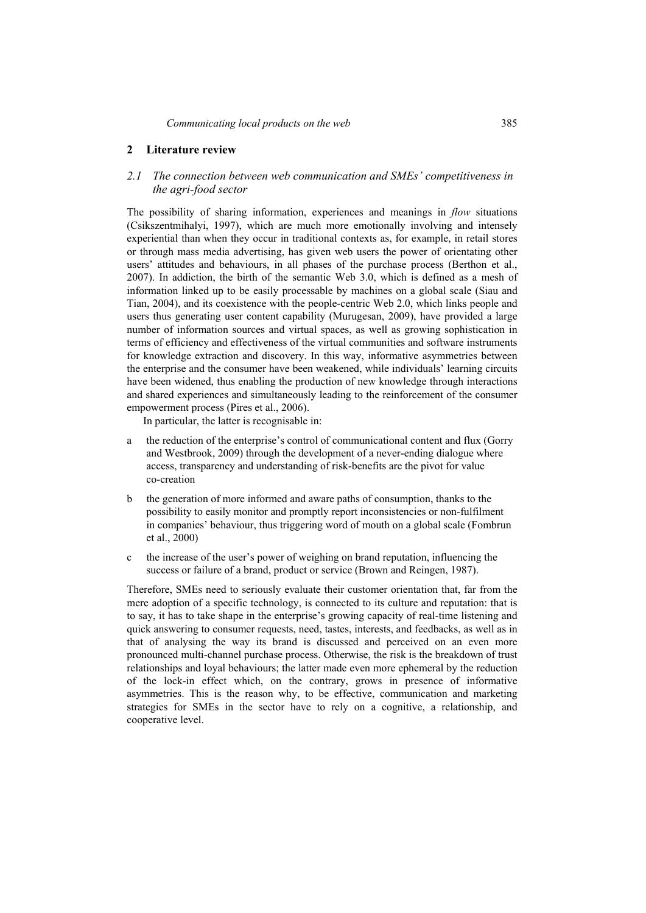### **2 Literature review**

## *2.1 The connection between web communication and SMEs' competitiveness in the agri-food sector*

The possibility of sharing information, experiences and meanings in *flow* situations (Csikszentmihalyi, 1997), which are much more emotionally involving and intensely experiential than when they occur in traditional contexts as, for example, in retail stores or through mass media advertising, has given web users the power of orientating other users' attitudes and behaviours, in all phases of the purchase process (Berthon et al., 2007). In addiction, the birth of the semantic Web 3.0, which is defined as a mesh of information linked up to be easily processable by machines on a global scale (Siau and Tian, 2004), and its coexistence with the people-centric Web 2.0, which links people and users thus generating user content capability (Murugesan, 2009), have provided a large number of information sources and virtual spaces, as well as growing sophistication in terms of efficiency and effectiveness of the virtual communities and software instruments for knowledge extraction and discovery. In this way, informative asymmetries between the enterprise and the consumer have been weakened, while individuals' learning circuits have been widened, thus enabling the production of new knowledge through interactions and shared experiences and simultaneously leading to the reinforcement of the consumer empowerment process (Pires et al., 2006).

In particular, the latter is recognisable in:

- a the reduction of the enterprise's control of communicational content and flux (Gorry and Westbrook, 2009) through the development of a never-ending dialogue where access, transparency and understanding of risk-benefits are the pivot for value co-creation
- b the generation of more informed and aware paths of consumption, thanks to the possibility to easily monitor and promptly report inconsistencies or non-fulfilment in companies' behaviour, thus triggering word of mouth on a global scale (Fombrun et al., 2000)
- c the increase of the user's power of weighing on brand reputation, influencing the success or failure of a brand, product or service (Brown and Reingen, 1987).

Therefore, SMEs need to seriously evaluate their customer orientation that, far from the mere adoption of a specific technology, is connected to its culture and reputation: that is to say, it has to take shape in the enterprise's growing capacity of real-time listening and quick answering to consumer requests, need, tastes, interests, and feedbacks, as well as in that of analysing the way its brand is discussed and perceived on an even more pronounced multi-channel purchase process. Otherwise, the risk is the breakdown of trust relationships and loyal behaviours; the latter made even more ephemeral by the reduction of the lock-in effect which, on the contrary, grows in presence of informative asymmetries. This is the reason why, to be effective, communication and marketing strategies for SMEs in the sector have to rely on a cognitive, a relationship, and cooperative level.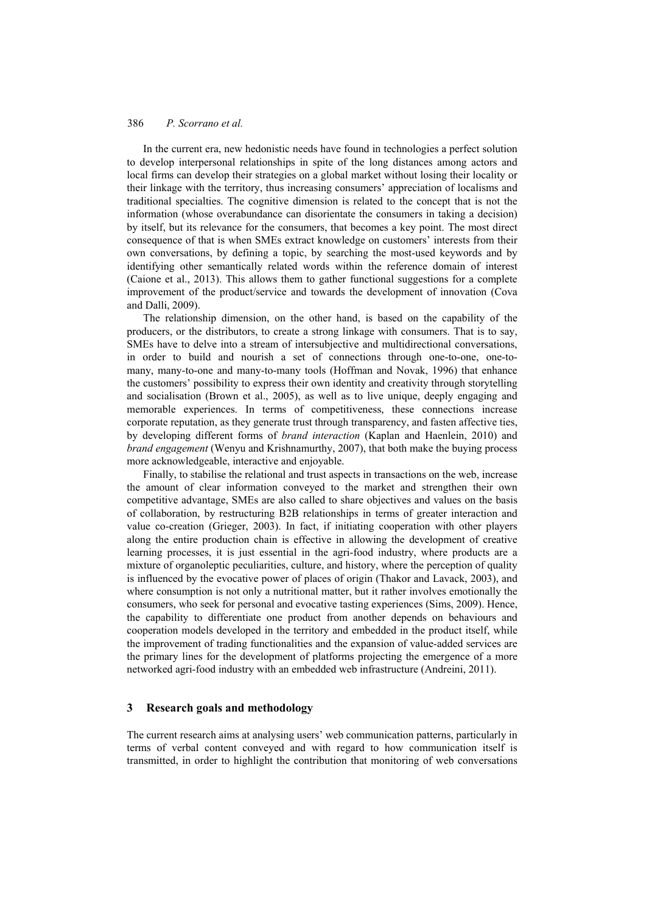In the current era, new hedonistic needs have found in technologies a perfect solution to develop interpersonal relationships in spite of the long distances among actors and local firms can develop their strategies on a global market without losing their locality or their linkage with the territory, thus increasing consumers' appreciation of localisms and traditional specialties. The cognitive dimension is related to the concept that is not the information (whose overabundance can disorientate the consumers in taking a decision) by itself, but its relevance for the consumers, that becomes a key point. The most direct consequence of that is when SMEs extract knowledge on customers' interests from their own conversations, by defining a topic, by searching the most-used keywords and by identifying other semantically related words within the reference domain of interest (Caione et al., 2013). This allows them to gather functional suggestions for a complete improvement of the product/service and towards the development of innovation (Cova and Dalli, 2009).

The relationship dimension, on the other hand, is based on the capability of the producers, or the distributors, to create a strong linkage with consumers. That is to say, SMEs have to delve into a stream of intersubjective and multidirectional conversations, in order to build and nourish a set of connections through one-to-one, one-tomany, many-to-one and many-to-many tools (Hoffman and Novak, 1996) that enhance the customers' possibility to express their own identity and creativity through storytelling and socialisation (Brown et al., 2005), as well as to live unique, deeply engaging and memorable experiences. In terms of competitiveness, these connections increase corporate reputation, as they generate trust through transparency, and fasten affective ties, by developing different forms of *brand interaction* (Kaplan and Haenlein, 2010) and *brand engagement* (Wenyu and Krishnamurthy, 2007), that both make the buying process more acknowledgeable, interactive and enjoyable.

Finally, to stabilise the relational and trust aspects in transactions on the web, increase the amount of clear information conveyed to the market and strengthen their own competitive advantage, SMEs are also called to share objectives and values on the basis of collaboration, by restructuring B2B relationships in terms of greater interaction and value co-creation (Grieger, 2003). In fact, if initiating cooperation with other players along the entire production chain is effective in allowing the development of creative learning processes, it is just essential in the agri-food industry, where products are a mixture of organoleptic peculiarities, culture, and history, where the perception of quality is influenced by the evocative power of places of origin (Thakor and Lavack, 2003), and where consumption is not only a nutritional matter, but it rather involves emotionally the consumers, who seek for personal and evocative tasting experiences (Sims, 2009). Hence, the capability to differentiate one product from another depends on behaviours and cooperation models developed in the territory and embedded in the product itself, while the improvement of trading functionalities and the expansion of value-added services are the primary lines for the development of platforms projecting the emergence of a more networked agri-food industry with an embedded web infrastructure (Andreini, 2011).

#### **3 Research goals and methodology**

The current research aims at analysing users' web communication patterns, particularly in terms of verbal content conveyed and with regard to how communication itself is transmitted, in order to highlight the contribution that monitoring of web conversations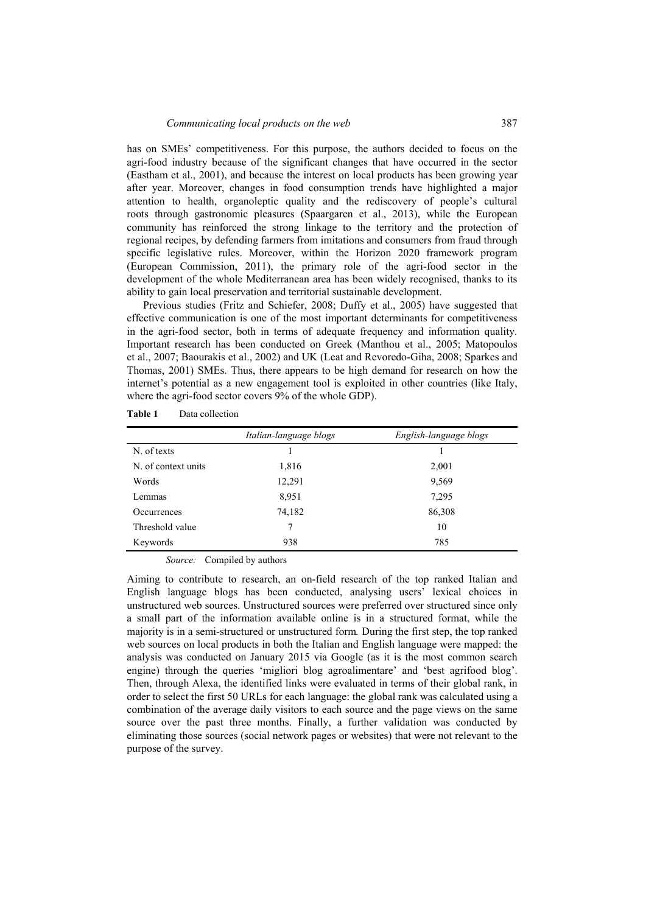has on SMEs' competitiveness. For this purpose, the authors decided to focus on the agri-food industry because of the significant changes that have occurred in the sector (Eastham et al., 2001), and because the interest on local products has been growing year after year. Moreover, changes in food consumption trends have highlighted a major attention to health, organoleptic quality and the rediscovery of people's cultural roots through gastronomic pleasures (Spaargaren et al., 2013), while the European community has reinforced the strong linkage to the territory and the protection of regional recipes, by defending farmers from imitations and consumers from fraud through specific legislative rules. Moreover, within the Horizon 2020 framework program (European Commission, 2011), the primary role of the agri-food sector in the development of the whole Mediterranean area has been widely recognised, thanks to its ability to gain local preservation and territorial sustainable development.

Previous studies (Fritz and Schiefer, 2008; Duffy et al., 2005) have suggested that effective communication is one of the most important determinants for competitiveness in the agri-food sector, both in terms of adequate frequency and information quality. Important research has been conducted on Greek (Manthou et al., 2005; Matopoulos et al., 2007; Baourakis et al., 2002) and UK (Leat and Revoredo-Giha, 2008; Sparkes and Thomas, 2001) SMEs. Thus, there appears to be high demand for research on how the internet's potential as a new engagement tool is exploited in other countries (like Italy, where the agri-food sector covers 9% of the whole GDP).

|                     | Italian-language blogs | English-language blogs |  |
|---------------------|------------------------|------------------------|--|
| N. of texts         |                        |                        |  |
| N. of context units | 1,816                  | 2,001                  |  |
| Words               | 12,291                 | 9,569                  |  |
| Lemmas              | 8,951                  | 7,295                  |  |
| Occurrences         | 74,182                 | 86,308                 |  |
| Threshold value     |                        | 10                     |  |
| Keywords            | 938                    | 785                    |  |

*Source:* Compiled by authors

Aiming to contribute to research, an on-field research of the top ranked Italian and English language blogs has been conducted, analysing users' lexical choices in unstructured web sources. Unstructured sources were preferred over structured since only a small part of the information available online is in a structured format, while the majority is in a semi-structured or unstructured form*.* During the first step, the top ranked web sources on local products in both the Italian and English language were mapped: the analysis was conducted on January 2015 via Google (as it is the most common search engine) through the queries 'migliori blog agroalimentare' and 'best agrifood blog'. Then, through Alexa, the identified links were evaluated in terms of their global rank, in order to select the first 50 URLs for each language: the global rank was calculated using a combination of the average daily visitors to each source and the page views on the same source over the past three months. Finally, a further validation was conducted by eliminating those sources (social network pages or websites) that were not relevant to the purpose of the survey.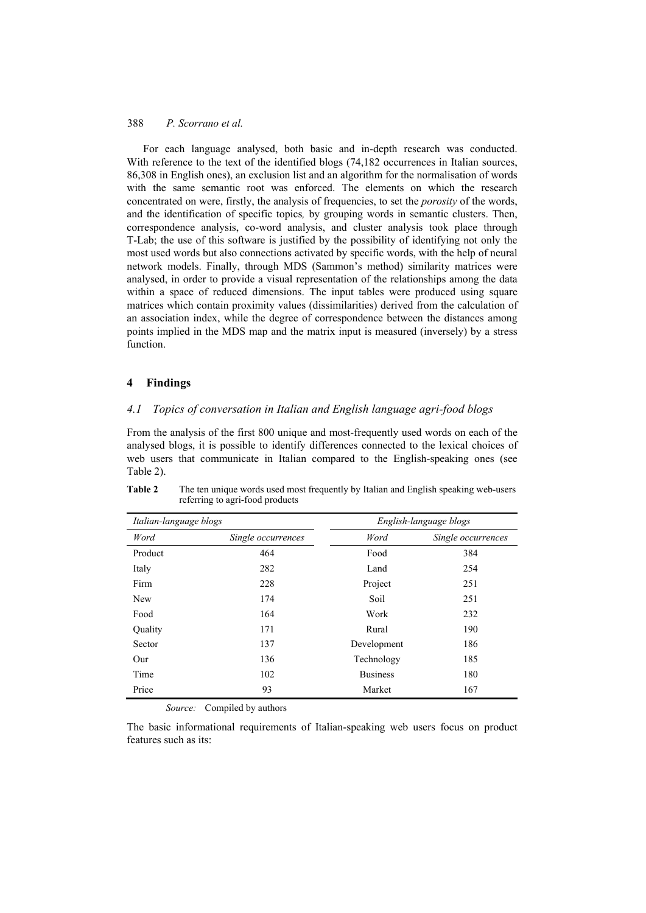For each language analysed, both basic and in-depth research was conducted. With reference to the text of the identified blogs (74,182 occurrences in Italian sources, 86,308 in English ones), an exclusion list and an algorithm for the normalisation of words with the same semantic root was enforced. The elements on which the research concentrated on were, firstly, the analysis of frequencies, to set the *porosity* of the words, and the identification of specific topics*,* by grouping words in semantic clusters. Then, correspondence analysis, co-word analysis, and cluster analysis took place through T-Lab; the use of this software is justified by the possibility of identifying not only the most used words but also connections activated by specific words, with the help of neural network models. Finally, through MDS (Sammon's method) similarity matrices were analysed, in order to provide a visual representation of the relationships among the data within a space of reduced dimensions. The input tables were produced using square matrices which contain proximity values (dissimilarities) derived from the calculation of an association index, while the degree of correspondence between the distances among points implied in the MDS map and the matrix input is measured (inversely) by a stress function.

#### **4 Findings**

# *4.1 Topics of conversation in Italian and English language agri-food blogs*

From the analysis of the first 800 unique and most-frequently used words on each of the analysed blogs, it is possible to identify differences connected to the lexical choices of web users that communicate in Italian compared to the English-speaking ones (see Table 2).

| Italian-language blogs |                    | English-language blogs |                    |
|------------------------|--------------------|------------------------|--------------------|
| Word                   | Single occurrences | Word                   | Single occurrences |
| Product                | 464                | Food                   | 384                |
| Italy                  | 282                | Land                   | 254                |
| Firm                   | 228                | Project                | 251                |
| <b>New</b>             | 174                | Soil                   | 251                |
| Food                   | 164                | Work                   | 232                |
| Quality                | 171                | Rural                  | 190                |
| Sector                 | 137                | Development            | 186                |
| Our                    | 136                | Technology             | 185                |
| Time                   | 102                | <b>Business</b>        | 180                |
| Price                  | 93                 | Market                 | 167                |

**Table 2** The ten unique words used most frequently by Italian and English speaking web-users referring to agri-food products

*Source:* Compiled by authors

The basic informational requirements of Italian-speaking web users focus on product features such as its: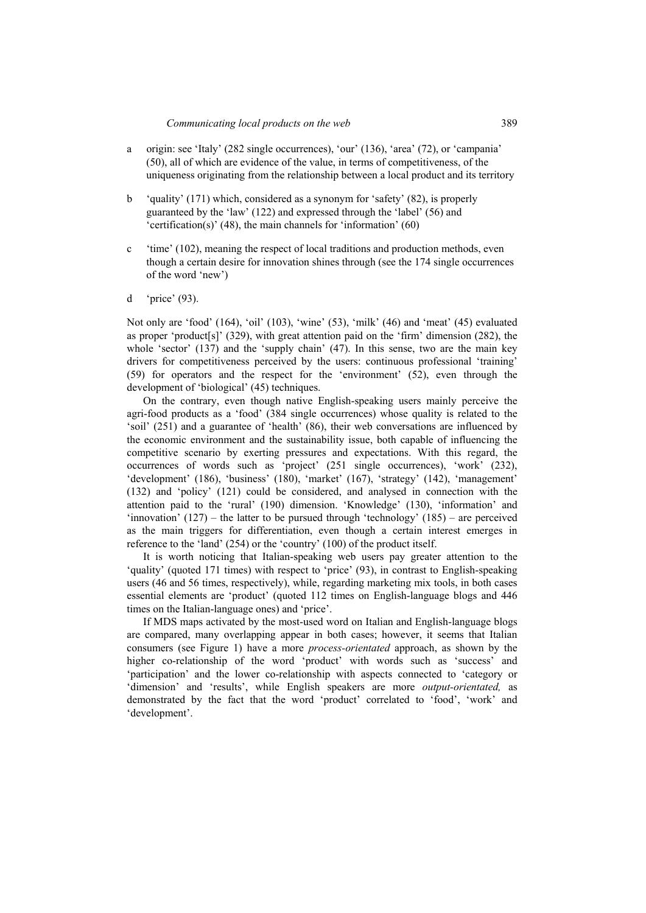- a origin: see 'Italy' (282 single occurrences), 'our' (136), 'area' (72), or 'campania' (50), all of which are evidence of the value, in terms of competitiveness, of the uniqueness originating from the relationship between a local product and its territory
- b 'quality' (171) which, considered as a synonym for 'safety' (82), is properly guaranteed by the 'law' (122) and expressed through the 'label' (56) and 'certification(s)' (48), the main channels for 'information' (60)
- c 'time' (102), meaning the respect of local traditions and production methods, even though a certain desire for innovation shines through (see the 174 single occurrences of the word 'new')
- d 'price' (93).

Not only are 'food' (164), 'oil' (103), 'wine' (53), 'milk' (46) and 'meat' (45) evaluated as proper 'product[s]' (329), with great attention paid on the 'firm' dimension (282), the whole 'sector' (137) and the 'supply chain' (47). In this sense, two are the main key drivers for competitiveness perceived by the users: continuous professional 'training' (59) for operators and the respect for the 'environment' (52), even through the development of 'biological' (45) techniques.

On the contrary, even though native English-speaking users mainly perceive the agri-food products as a 'food' (384 single occurrences) whose quality is related to the 'soil' (251) and a guarantee of 'health' (86), their web conversations are influenced by the economic environment and the sustainability issue, both capable of influencing the competitive scenario by exerting pressures and expectations. With this regard, the occurrences of words such as 'project' (251 single occurrences), 'work' (232), 'development' (186), 'business' (180), 'market' (167), 'strategy' (142), 'management' (132) and 'policy' (121) could be considered, and analysed in connection with the attention paid to the 'rural' (190) dimension. 'Knowledge' (130), 'information' and 'innovation'  $(127)$  – the latter to be pursued through 'technology'  $(185)$  – are perceived as the main triggers for differentiation, even though a certain interest emerges in reference to the 'land' (254) or the 'country' (100) of the product itself.

It is worth noticing that Italian-speaking web users pay greater attention to the 'quality' (quoted 171 times) with respect to 'price' (93), in contrast to English-speaking users (46 and 56 times, respectively), while, regarding marketing mix tools, in both cases essential elements are 'product' (quoted 112 times on English-language blogs and 446 times on the Italian-language ones) and 'price'.

If MDS maps activated by the most-used word on Italian and English-language blogs are compared, many overlapping appear in both cases; however, it seems that Italian consumers (see Figure 1) have a more *process-orientated* approach, as shown by the higher co-relationship of the word 'product' with words such as 'success' and 'participation' and the lower co-relationship with aspects connected to 'category or 'dimension' and 'results', while English speakers are more *output-orientated,* as demonstrated by the fact that the word 'product' correlated to 'food', 'work' and 'development'.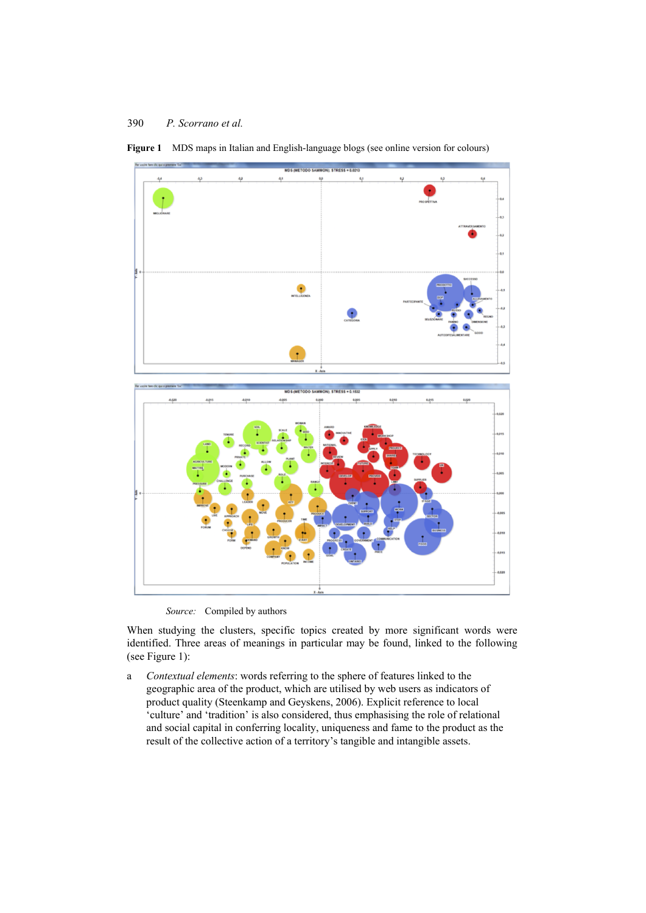

**Figure 1** MDS maps in Italian and English-language blogs (see online version for colours)

*Source:* Compiled by authors

When studying the clusters, specific topics created by more significant words were identified. Three areas of meanings in particular may be found, linked to the following (see Figure 1):

a *Contextual elements*: words referring to the sphere of features linked to the geographic area of the product, which are utilised by web users as indicators of product quality (Steenkamp and Geyskens, 2006). Explicit reference to local 'culture' and 'tradition' is also considered, thus emphasising the role of relational and social capital in conferring locality, uniqueness and fame to the product as the result of the collective action of a territory's tangible and intangible assets.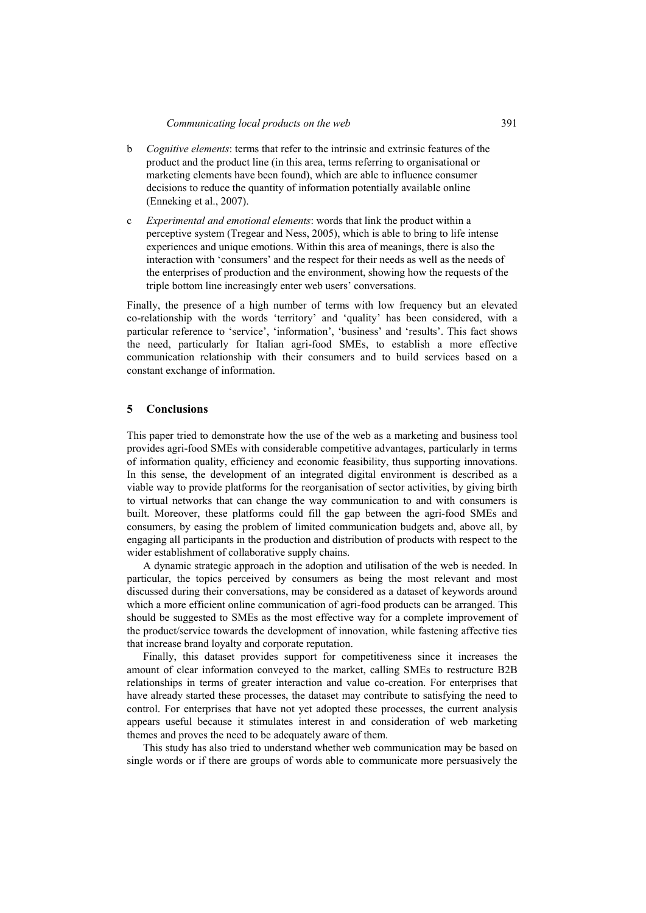- b *Cognitive elements*: terms that refer to the intrinsic and extrinsic features of the product and the product line (in this area, terms referring to organisational or marketing elements have been found), which are able to influence consumer decisions to reduce the quantity of information potentially available online (Enneking et al., 2007).
- c *Experimental and emotional elements*: words that link the product within a perceptive system (Tregear and Ness, 2005), which is able to bring to life intense experiences and unique emotions. Within this area of meanings, there is also the interaction with 'consumers' and the respect for their needs as well as the needs of the enterprises of production and the environment, showing how the requests of the triple bottom line increasingly enter web users' conversations.

Finally, the presence of a high number of terms with low frequency but an elevated co-relationship with the words 'territory' and 'quality' has been considered, with a particular reference to 'service', 'information', 'business' and 'results'. This fact shows the need, particularly for Italian agri-food SMEs, to establish a more effective communication relationship with their consumers and to build services based on a constant exchange of information.

#### **5 Conclusions**

This paper tried to demonstrate how the use of the web as a marketing and business tool provides agri-food SMEs with considerable competitive advantages, particularly in terms of information quality, efficiency and economic feasibility, thus supporting innovations. In this sense, the development of an integrated digital environment is described as a viable way to provide platforms for the reorganisation of sector activities, by giving birth to virtual networks that can change the way communication to and with consumers is built. Moreover, these platforms could fill the gap between the agri-food SMEs and consumers, by easing the problem of limited communication budgets and, above all, by engaging all participants in the production and distribution of products with respect to the wider establishment of collaborative supply chains.

A dynamic strategic approach in the adoption and utilisation of the web is needed. In particular, the topics perceived by consumers as being the most relevant and most discussed during their conversations, may be considered as a dataset of keywords around which a more efficient online communication of agri-food products can be arranged. This should be suggested to SMEs as the most effective way for a complete improvement of the product/service towards the development of innovation, while fastening affective ties that increase brand loyalty and corporate reputation.

Finally, this dataset provides support for competitiveness since it increases the amount of clear information conveyed to the market, calling SMEs to restructure B2B relationships in terms of greater interaction and value co-creation. For enterprises that have already started these processes, the dataset may contribute to satisfying the need to control. For enterprises that have not yet adopted these processes, the current analysis appears useful because it stimulates interest in and consideration of web marketing themes and proves the need to be adequately aware of them.

This study has also tried to understand whether web communication may be based on single words or if there are groups of words able to communicate more persuasively the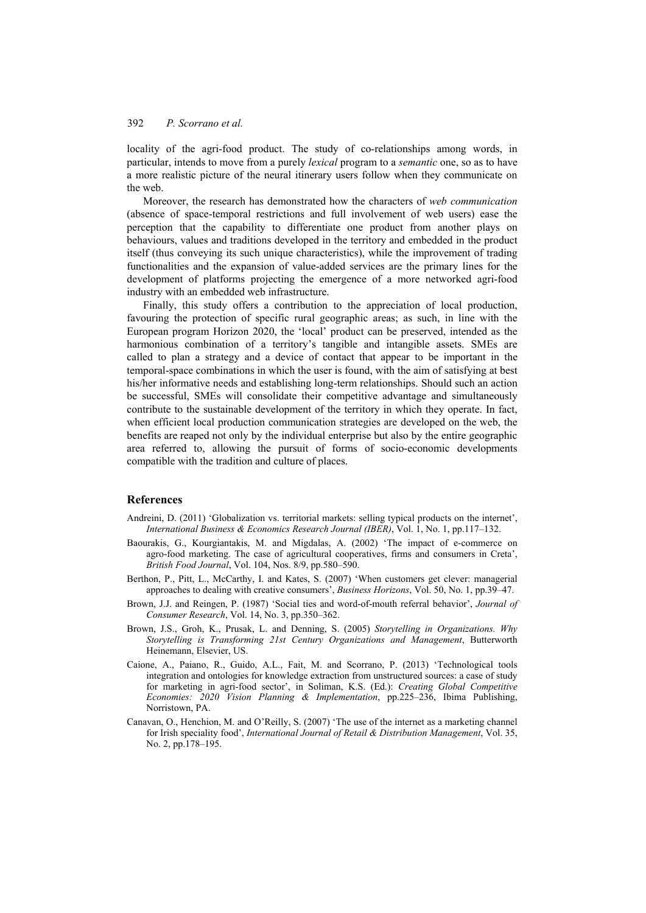locality of the agri-food product. The study of co-relationships among words, in particular, intends to move from a purely *lexical* program to a *semantic* one, so as to have a more realistic picture of the neural itinerary users follow when they communicate on the web.

Moreover, the research has demonstrated how the characters of *web communication*  (absence of space-temporal restrictions and full involvement of web users) ease the perception that the capability to differentiate one product from another plays on behaviours, values and traditions developed in the territory and embedded in the product itself (thus conveying its such unique characteristics), while the improvement of trading functionalities and the expansion of value-added services are the primary lines for the development of platforms projecting the emergence of a more networked agri-food industry with an embedded web infrastructure.

Finally, this study offers a contribution to the appreciation of local production, favouring the protection of specific rural geographic areas; as such, in line with the European program Horizon 2020, the 'local' product can be preserved, intended as the harmonious combination of a territory's tangible and intangible assets. SMEs are called to plan a strategy and a device of contact that appear to be important in the temporal-space combinations in which the user is found, with the aim of satisfying at best his/her informative needs and establishing long-term relationships. Should such an action be successful, SMEs will consolidate their competitive advantage and simultaneously contribute to the sustainable development of the territory in which they operate. In fact, when efficient local production communication strategies are developed on the web, the benefits are reaped not only by the individual enterprise but also by the entire geographic area referred to, allowing the pursuit of forms of socio-economic developments compatible with the tradition and culture of places.

#### **References**

- Andreini, D. (2011) 'Globalization vs. territorial markets: selling typical products on the internet', *International Business & Economics Research Journal (IBER)*, Vol. 1, No. 1, pp.117–132.
- Baourakis, G., Kourgiantakis, M. and Migdalas, A. (2002) 'The impact of e-commerce on agro-food marketing. The case of agricultural cooperatives, firms and consumers in Creta', *British Food Journal*, Vol. 104, Nos. 8/9, pp.580–590.
- Berthon, P., Pitt, L., McCarthy, I. and Kates, S. (2007) 'When customers get clever: managerial approaches to dealing with creative consumers', *Business Horizons*, Vol. 50, No. 1, pp.39–47.
- Brown, J.J. and Reingen, P. (1987) 'Social ties and word-of-mouth referral behavior', *Journal of Consumer Research*, Vol. 14, No. 3, pp.350–362.
- Brown, J.S., Groh, K., Prusak, L. and Denning, S. (2005) *Storytelling in Organizations. Why Storytelling is Transforming 21st Century Organizations and Management*, Butterworth Heinemann, Elsevier, US.
- Caione, A., Paiano, R., Guido, A.L., Fait, M. and Scorrano, P. (2013) 'Technological tools integration and ontologies for knowledge extraction from unstructured sources: a case of study for marketing in agri-food sector', in Soliman, K.S. (Ed.): *Creating Global Competitive Economies: 2020 Vision Planning & Implementation*, pp.225–236, Ibima Publishing, Norristown, PA.
- Canavan, O., Henchion, M. and O'Reilly, S. (2007) 'The use of the internet as a marketing channel for Irish speciality food', *International Journal of Retail & Distribution Management*, Vol. 35, No. 2, pp.178–195.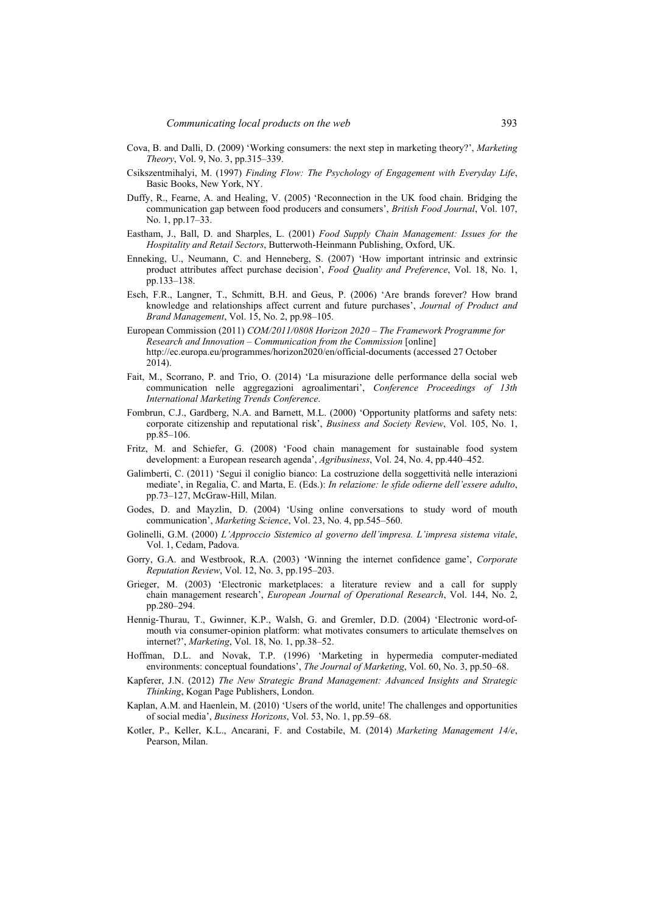- Cova, B. and Dalli, D. (2009) 'Working consumers: the next step in marketing theory?', *Marketing Theory*, Vol. 9, No. 3, pp.315–339.
- Csikszentmihalyi, M. (1997) *Finding Flow: The Psychology of Engagement with Everyday Life*, Basic Books, New York, NY.
- Duffy, R., Fearne, A. and Healing, V. (2005) 'Reconnection in the UK food chain. Bridging the communication gap between food producers and consumers', *British Food Journal*, Vol. 107, No. 1, pp.17–33.
- Eastham, J., Ball, D. and Sharples, L. (2001) *Food Supply Chain Management: Issues for the Hospitality and Retail Sectors*, Butterwoth-Heinmann Publishing, Oxford, UK.
- Enneking, U., Neumann, C. and Henneberg, S. (2007) 'How important intrinsic and extrinsic product attributes affect purchase decision', *Food Quality and Preference*, Vol. 18, No. 1, pp.133–138.
- Esch, F.R., Langner, T., Schmitt, B.H. and Geus, P. (2006) 'Are brands forever? How brand knowledge and relationships affect current and future purchases', *Journal of Product and Brand Management*, Vol. 15, No. 2, pp.98–105.
- European Commission (2011) *COM/2011/0808 Horizon 2020 The Framework Programme for Research and Innovation – Communication from the Commission* [online] http://ec.europa.eu/programmes/horizon2020/en/official-documents (accessed 27 October 2014).
- Fait, M., Scorrano, P. and Trio, O. (2014) 'La misurazione delle performance della social web communication nelle aggregazioni agroalimentari', *Conference Proceedings of 13th International Marketing Trends Conference*.
- Fombrun, C.J., Gardberg, N.A. and Barnett, M.L. (2000) 'Opportunity platforms and safety nets: corporate citizenship and reputational risk', *Business and Society Review*, Vol. 105, No. 1, pp.85–106.
- Fritz, M. and Schiefer, G. (2008) 'Food chain management for sustainable food system development: a European research agenda', *Agribusiness*, Vol. 24, No. 4, pp.440–452.
- Galimberti, C. (2011) 'Segui il coniglio bianco: La costruzione della soggettività nelle interazioni mediate', in Regalia, C. and Marta, E. (Eds.): *In relazione: le sfide odierne dell'essere adulto*, pp.73–127, McGraw-Hill, Milan.
- Godes, D. and Mayzlin, D. (2004) 'Using online conversations to study word of mouth communication', *Marketing Science*, Vol. 23, No. 4, pp.545–560.
- Golinelli, G.M. (2000) *L'Approccio Sistemico al governo dell'impresa. L'impresa sistema vitale*, Vol. 1, Cedam, Padova.
- Gorry, G.A. and Westbrook, R.A. (2003) 'Winning the internet confidence game', *Corporate Reputation Review*, Vol. 12, No. 3, pp.195–203.
- Grieger, M. (2003) 'Electronic marketplaces: a literature review and a call for supply chain management research', *European Journal of Operational Research*, Vol. 144, No. 2, pp.280–294.
- Hennig-Thurau, T., Gwinner, K.P., Walsh, G. and Gremler, D.D. (2004) 'Electronic word-ofmouth via consumer-opinion platform: what motivates consumers to articulate themselves on internet?', *Marketing*, Vol. 18, No. 1, pp.38–52.
- Hoffman, D.L. and Novak, T.P. (1996) 'Marketing in hypermedia computer-mediated environments: conceptual foundations', *The Journal of Marketing*, Vol. 60, No. 3, pp.50–68.
- Kapferer, J.N. (2012) *The New Strategic Brand Management: Advanced Insights and Strategic Thinking*, Kogan Page Publishers, London.
- Kaplan, A.M. and Haenlein, M. (2010) 'Users of the world, unite! The challenges and opportunities of social media', *Business Horizons*, Vol. 53, No. 1, pp.59–68.
- Kotler, P., Keller, K.L., Ancarani, F. and Costabile, M. (2014) *Marketing Management 14/e*, Pearson, Milan.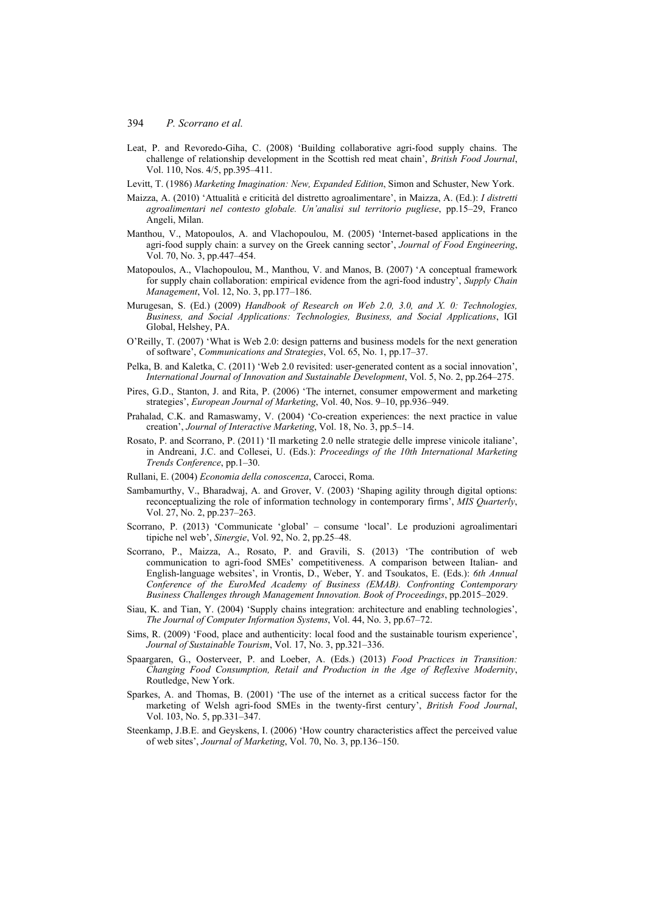- Leat, P. and Revoredo-Giha, C. (2008) 'Building collaborative agri-food supply chains. The challenge of relationship development in the Scottish red meat chain', *British Food Journal*, Vol. 110, Nos. 4/5, pp.395–411.
- Levitt, T. (1986) *Marketing Imagination: New, Expanded Edition*, Simon and Schuster, New York.
- Maizza, A. (2010) 'Attualità e criticità del distretto agroalimentare', in Maizza, A. (Ed.): *I distretti agroalimentari nel contesto globale. Un'analisi sul territorio pugliese*, pp.15–29, Franco Angeli, Milan.
- Manthou, V., Matopoulos, A. and Vlachopoulou, M. (2005) 'Internet-based applications in the agri-food supply chain: a survey on the Greek canning sector', *Journal of Food Engineering*, Vol. 70, No. 3, pp.447–454.
- Matopoulos, A., Vlachopoulou, M., Manthou, V. and Manos, B. (2007) 'A conceptual framework for supply chain collaboration: empirical evidence from the agri-food industry', *Supply Chain Management*, Vol. 12, No. 3, pp.177–186.
- Murugesan, S. (Ed.) (2009) *Handbook of Research on Web 2.0, 3.0, and X. 0: Technologies, Business, and Social Applications: Technologies, Business, and Social Applications*, IGI Global, Helshey, PA.
- O'Reilly, T. (2007) 'What is Web 2.0: design patterns and business models for the next generation of software', *Communications and Strategies*, Vol. 65, No. 1, pp.17–37.
- Pelka, B. and Kaletka, C. (2011) 'Web 2.0 revisited: user-generated content as a social innovation', *International Journal of Innovation and Sustainable Development*, Vol. 5, No. 2, pp.264–275.
- Pires, G.D., Stanton, J. and Rita, P. (2006) 'The internet, consumer empowerment and marketing strategies', *European Journal of Marketing*, Vol. 40, Nos. 9–10, pp.936–949.
- Prahalad, C.K. and Ramaswamy, V. (2004) 'Co-creation experiences: the next practice in value creation', *Journal of Interactive Marketing*, Vol. 18, No. 3, pp.5–14.
- Rosato, P. and Scorrano, P. (2011) 'Il marketing 2.0 nelle strategie delle imprese vinicole italiane', in Andreani, J.C. and Collesei, U. (Eds.): *Proceedings of the 10th International Marketing Trends Conference*, pp.1–30.
- Rullani, E. (2004) *Economia della conoscenza*, Carocci, Roma.
- Sambamurthy, V., Bharadwaj, A. and Grover, V. (2003) 'Shaping agility through digital options: reconceptualizing the role of information technology in contemporary firms', *MIS Quarterly*, Vol. 27, No. 2, pp.237–263.
- Scorrano, P. (2013) 'Communicate 'global' consume 'local'. Le produzioni agroalimentari tipiche nel web', *Sinergie*, Vol. 92, No. 2, pp.25–48.
- Scorrano, P., Maizza, A., Rosato, P. and Gravili, S. (2013) 'The contribution of web communication to agri-food SMEs' competitiveness. A comparison between Italian- and English-language websites', in Vrontis, D., Weber, Y. and Tsoukatos, E. (Eds.): *6th Annual Conference of the EuroMed Academy of Business (EMAB). Confronting Contemporary Business Challenges through Management Innovation. Book of Proceedings*, pp.2015–2029.
- Siau, K. and Tian, Y. (2004) 'Supply chains integration: architecture and enabling technologies', *The Journal of Computer Information Systems*, Vol. 44, No. 3, pp.67–72.
- Sims, R. (2009) 'Food, place and authenticity: local food and the sustainable tourism experience', *Journal of Sustainable Tourism*, Vol. 17, No. 3, pp.321–336.
- Spaargaren, G., Oosterveer, P. and Loeber, A. (Eds.) (2013) *Food Practices in Transition: Changing Food Consumption, Retail and Production in the Age of Reflexive Modernity*, Routledge, New York.
- Sparkes, A. and Thomas, B. (2001) 'The use of the internet as a critical success factor for the marketing of Welsh agri-food SMEs in the twenty-first century', *British Food Journal*, Vol. 103, No. 5, pp.331–347.
- Steenkamp, J.B.E. and Geyskens, I. (2006) 'How country characteristics affect the perceived value of web sites', *Journal of Marketing*, Vol. 70, No. 3, pp.136–150.